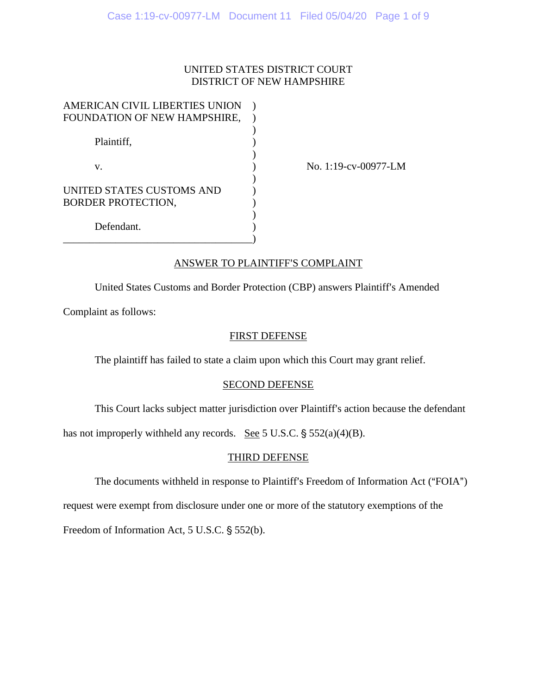### UNITED STATES DISTRICT COURT DISTRICT OF NEW HAMPSHIRE

| AMERICAN CIVIL LIBERTIES UNION |  |
|--------------------------------|--|
| FOUNDATION OF NEW HAMPSHIRE,   |  |
|                                |  |
| Plaintiff,                     |  |
|                                |  |
| V.                             |  |
|                                |  |
| UNITED STATES CUSTOMS AND      |  |
| <b>BORDER PROTECTION,</b>      |  |
|                                |  |
| Defendant.                     |  |
|                                |  |

No. 1:19-cv-00977-LM

## ANSWER TO PLAINTIFF'S COMPLAINT

United States Customs and Border Protection (CBP) answers Plaintiff's Amended

Complaint as follows:

### FIRST DEFENSE

The plaintiff has failed to state a claim upon which this Court may grant relief.

### SECOND DEFENSE

This Court lacks subject matter jurisdiction over Plaintiff's action because the defendant

has not improperly withheld any records. See 5 U.S.C.  $\S 552(a)(4)(B)$ .

# THIRD DEFENSE

The documents withheld in response to Plaintiff's Freedom of Information Act ("FOIA")

request were exempt from disclosure under one or more of the statutory exemptions of the

Freedom of Information Act,  $5$  U.S.C.  $\S$   $552(b)$ .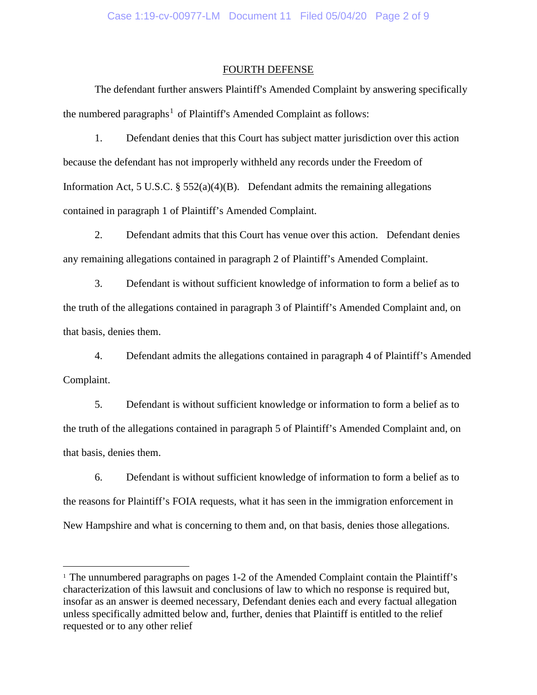#### FOURTH DEFENSE

The defendant further answers Plaintiff's Amended Complaint by answering specifically the numbered paragraphs<sup>[1](#page-1-0)</sup> of Plaintiff's Amended Complaint as follows:

1. Defendant denies that this Court has subject matter jurisdiction over this action because the defendant has not improperly withheld any records under the Freedom of Information Act, 5 U.S.C.  $\S$  552(a)(4)(B). Defendant admits the remaining allegations contained in paragraph 1 of Plaintiff's Amended Complaint.

2. Defendant admits that this Court has venue over this action. Defendant denies any remaining allegations contained in paragraph 2 of Plaintiff's Amended Complaint.

3. Defendant is without sufficient knowledge of information to form a belief as to the truth of the allegations contained in paragraph 3 of Plaintiff's Amended Complaint and, on that basis, denies them.

4. Defendant admits the allegations contained in paragraph 4 of Plaintiff's Amended Complaint.

5. Defendant is without sufficient knowledge or information to form a belief as to the truth of the allegations contained in paragraph 5 of Plaintiff's Amended Complaint and, on that basis, denies them.

6. Defendant is without sufficient knowledge of information to form a belief as to the reasons for Plaintiff's FOIA requests, what it has seen in the immigration enforcement in New Hampshire and what is concerning to them and, on that basis, denies those allegations.

<span id="page-1-0"></span><sup>&</sup>lt;sup>1</sup> The unnumbered paragraphs on pages 1-2 of the Amended Complaint contain the Plaintiff's characterization of this lawsuit and conclusions of law to which no response is required but, insofar as an answer is deemed necessary, Defendant denies each and every factual allegation unless specifically admitted below and, further, denies that Plaintiff is entitled to the relief requested or to any other relief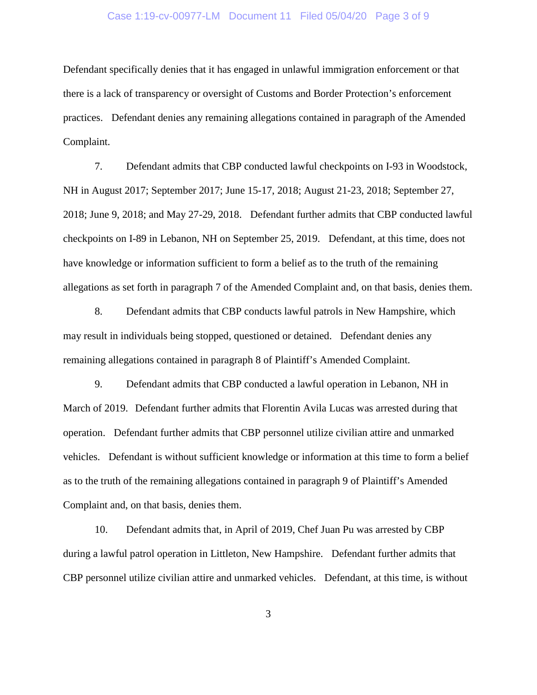#### Case 1:19-cv-00977-LM Document 11 Filed 05/04/20 Page 3 of 9

Defendant specifically denies that it has engaged in unlawful immigration enforcement or that there is a lack of transparency or oversight of Customs and Border Protection's enforcement practices. Defendant denies any remaining allegations contained in paragraph of the Amended Complaint.

7. Defendant admits that CBP conducted lawful checkpoints on I-93 in Woodstock, NH in August 2017; September 2017; June 15-17, 2018; August 21-23, 2018; September 27, 2018; June 9, 2018; and May 27-29, 2018. Defendant further admits that CBP conducted lawful checkpoints on I-89 in Lebanon, NH on September 25, 2019. Defendant, at this time, does not have knowledge or information sufficient to form a belief as to the truth of the remaining allegations as set forth in paragraph 7 of the Amended Complaint and, on that basis, denies them.

8. Defendant admits that CBP conducts lawful patrols in New Hampshire, which may result in individuals being stopped, questioned or detained. Defendant denies any remaining allegations contained in paragraph 8 of Plaintiff's Amended Complaint.

9. Defendant admits that CBP conducted a lawful operation in Lebanon, NH in March of 2019. Defendant further admits that Florentin Avila Lucas was arrested during that operation. Defendant further admits that CBP personnel utilize civilian attire and unmarked vehicles. Defendant is without sufficient knowledge or information at this time to form a belief as to the truth of the remaining allegations contained in paragraph 9 of Plaintiff's Amended Complaint and, on that basis, denies them.

10. Defendant admits that, in April of 2019, Chef Juan Pu was arrested by CBP during a lawful patrol operation in Littleton, New Hampshire. Defendant further admits that CBP personnel utilize civilian attire and unmarked vehicles. Defendant, at this time, is without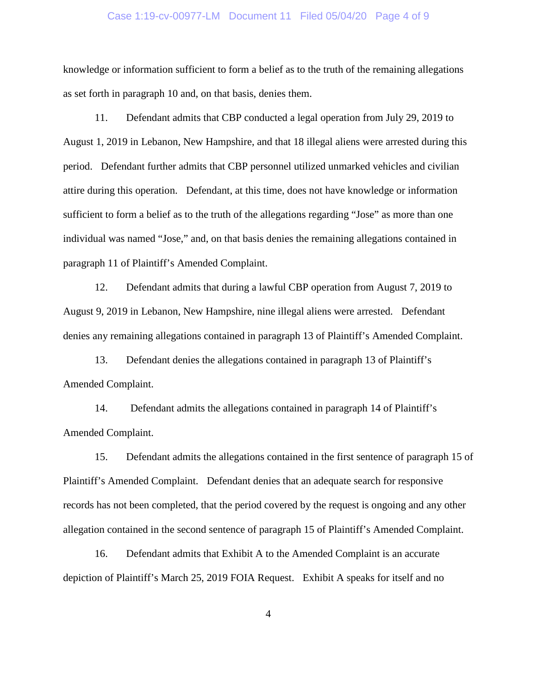#### Case 1:19-cv-00977-LM Document 11 Filed 05/04/20 Page 4 of 9

knowledge or information sufficient to form a belief as to the truth of the remaining allegations as set forth in paragraph 10 and, on that basis, denies them.

11. Defendant admits that CBP conducted a legal operation from July 29, 2019 to August 1, 2019 in Lebanon, New Hampshire, and that 18 illegal aliens were arrested during this period. Defendant further admits that CBP personnel utilized unmarked vehicles and civilian attire during this operation. Defendant, at this time, does not have knowledge or information sufficient to form a belief as to the truth of the allegations regarding "Jose" as more than one individual was named "Jose," and, on that basis denies the remaining allegations contained in paragraph 11 of Plaintiff's Amended Complaint.

12. Defendant admits that during a lawful CBP operation from August 7, 2019 to August 9, 2019 in Lebanon, New Hampshire, nine illegal aliens were arrested. Defendant denies any remaining allegations contained in paragraph 13 of Plaintiff's Amended Complaint.

13. Defendant denies the allegations contained in paragraph 13 of Plaintiff's Amended Complaint.

14. Defendant admits the allegations contained in paragraph 14 of Plaintiff's Amended Complaint.

15. Defendant admits the allegations contained in the first sentence of paragraph 15 of Plaintiff's Amended Complaint. Defendant denies that an adequate search for responsive records has not been completed, that the period covered by the request is ongoing and any other allegation contained in the second sentence of paragraph 15 of Plaintiff's Amended Complaint.

16. Defendant admits that Exhibit A to the Amended Complaint is an accurate depiction of Plaintiff's March 25, 2019 FOIA Request. Exhibit A speaks for itself and no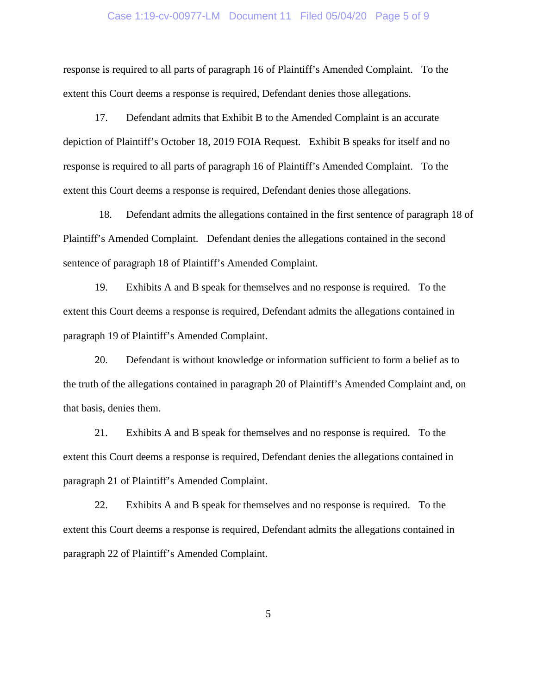#### Case 1:19-cv-00977-LM Document 11 Filed 05/04/20 Page 5 of 9

response is required to all parts of paragraph 16 of Plaintiff's Amended Complaint. To the extent this Court deems a response is required, Defendant denies those allegations.

17. Defendant admits that Exhibit B to the Amended Complaint is an accurate depiction of Plaintiff's October 18, 2019 FOIA Request. Exhibit B speaks for itself and no response is required to all parts of paragraph 16 of Plaintiff's Amended Complaint. To the extent this Court deems a response is required, Defendant denies those allegations.

18. Defendant admits the allegations contained in the first sentence of paragraph 18 of Plaintiff's Amended Complaint. Defendant denies the allegations contained in the second sentence of paragraph 18 of Plaintiff's Amended Complaint.

19. Exhibits A and B speak for themselves and no response is required. To the extent this Court deems a response is required, Defendant admits the allegations contained in paragraph 19 of Plaintiff's Amended Complaint.

20. Defendant is without knowledge or information sufficient to form a belief as to the truth of the allegations contained in paragraph 20 of Plaintiff's Amended Complaint and, on that basis, denies them.

21. Exhibits A and B speak for themselves and no response is required. To the extent this Court deems a response is required, Defendant denies the allegations contained in paragraph 21 of Plaintiff's Amended Complaint.

22. Exhibits A and B speak for themselves and no response is required. To the extent this Court deems a response is required, Defendant admits the allegations contained in paragraph 22 of Plaintiff's Amended Complaint.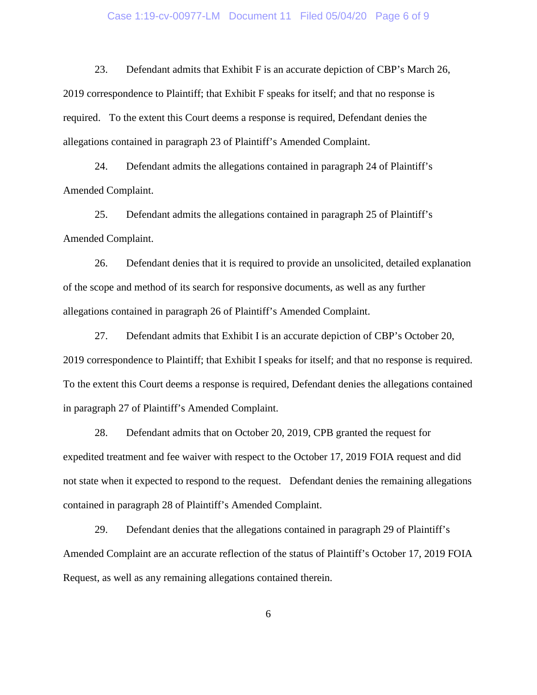#### Case 1:19-cv-00977-LM Document 11 Filed 05/04/20 Page 6 of 9

23. Defendant admits that Exhibit F is an accurate depiction of CBP's March 26, 2019 correspondence to Plaintiff; that Exhibit F speaks for itself; and that no response is required. To the extent this Court deems a response is required, Defendant denies the allegations contained in paragraph 23 of Plaintiff's Amended Complaint.

24. Defendant admits the allegations contained in paragraph 24 of Plaintiff's Amended Complaint.

25. Defendant admits the allegations contained in paragraph 25 of Plaintiff's Amended Complaint.

26. Defendant denies that it is required to provide an unsolicited, detailed explanation of the scope and method of its search for responsive documents, as well as any further allegations contained in paragraph 26 of Plaintiff's Amended Complaint.

27. Defendant admits that Exhibit I is an accurate depiction of CBP's October 20, 2019 correspondence to Plaintiff; that Exhibit I speaks for itself; and that no response is required. To the extent this Court deems a response is required, Defendant denies the allegations contained in paragraph 27 of Plaintiff's Amended Complaint.

28. Defendant admits that on October 20, 2019, CPB granted the request for expedited treatment and fee waiver with respect to the October 17, 2019 FOIA request and did not state when it expected to respond to the request. Defendant denies the remaining allegations contained in paragraph 28 of Plaintiff's Amended Complaint.

29. Defendant denies that the allegations contained in paragraph 29 of Plaintiff's Amended Complaint are an accurate reflection of the status of Plaintiff's October 17, 2019 FOIA Request, as well as any remaining allegations contained therein.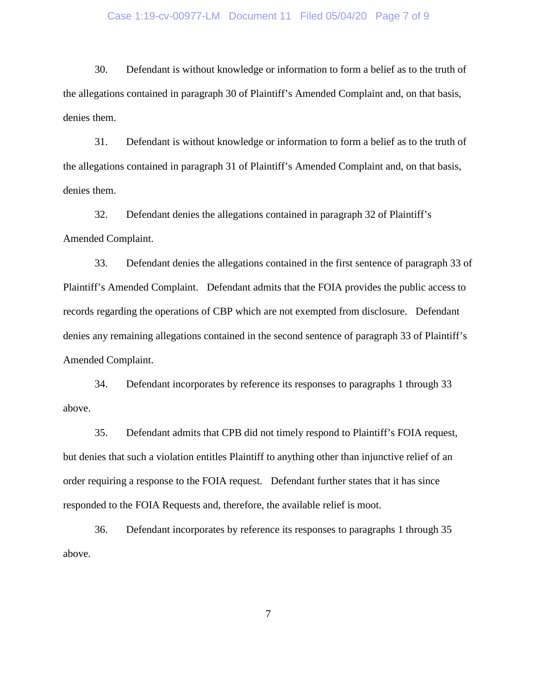#### Case 1:19-cv-00977-LM Document 11 Filed 05/04/20 Page 7 of 9

30. Defendant is without knowledge or information to form a belief as to the truth of the allegations contained in paragraph 30 of Plaintiff's Amended Complaint and, on that basis, denies them.

31. Defendant is without knowledge or information to form a belief as to the truth of the allegations contained in paragraph 31 of Plaintiff's Amended Complaint and, on that basis, denies them.

32. Defendant denies the allegations contained in paragraph 32 of Plaintiff's Amended Complaint.

33. Defendant denies the allegations contained in the first sentence of paragraph 33 of Plaintiff's Amended Complaint. Defendant admits that the FOIA provides the public access to records regarding the operations of CBP which are not exempted from disclosure. Defendant denies any remaining allegations contained in the second sentence of paragraph 33 of Plaintiff's Amended Complaint.

34. Defendant incorporates by reference its responses to paragraphs 1 through 33 above.

35. Defendant admits that CPB did not timely respond to Plaintiff's FOIA request, but denies that such a violation entitles Plaintiff to anything other than injunctive relief of an order requiring a response to the FOIA request. Defendant further states that it has since responded to the FOIA Requests and, therefore, the available relief is moot.

36. Defendant incorporates by reference its responses to paragraphs 1 through 35 above.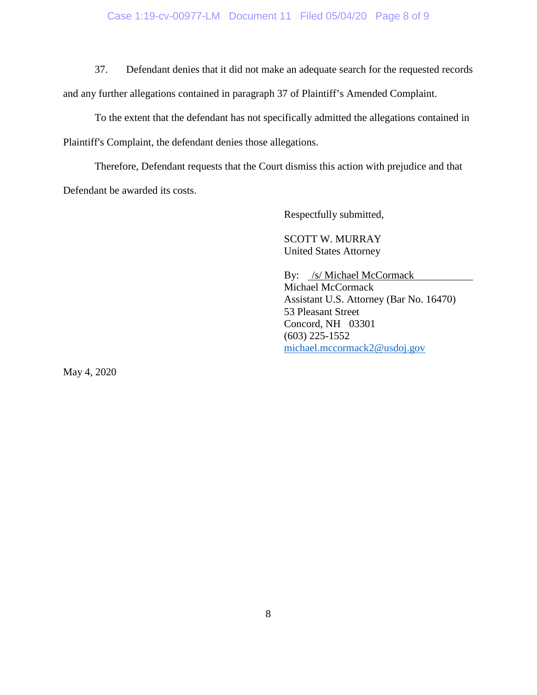### Case 1:19-cv-00977-LM Document 11 Filed 05/04/20 Page 8 of 9

37. Defendant denies that it did not make an adequate search for the requested records and any further allegations contained in paragraph 37 of Plaintiff's Amended Complaint.

To the extent that the defendant has not specifically admitted the allegations contained in Plaintiff's Complaint, the defendant denies those allegations.

Therefore, Defendant requests that the Court dismiss this action with prejudice and that Defendant be awarded its costs.

Respectfully submitted,

SCOTT W. MURRAY United States Attorney

By: /s/ Michael McCormack Michael McCormack Assistant U.S. Attorney (Bar No. 16470) 53 Pleasant Street Concord, NH 03301 (603) 225-1552 [michael.mccormack2@usdoj.gov](mailto:michael.mccormack2@usdoj.gov)

May 4, 2020